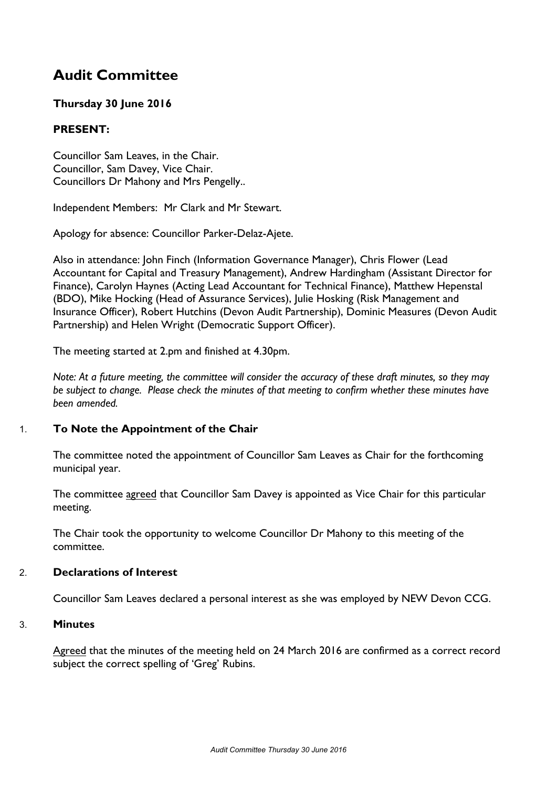# **Audit Committee**

# **Thursday 30 June 2016**

# **PRESENT:**

Councillor Sam Leaves, in the Chair. Councillor, Sam Davey, Vice Chair. Councillors Dr Mahony and Mrs Pengelly..

Independent Members: Mr Clark and Mr Stewart.

Apology for absence: Councillor Parker-Delaz-Ajete.

Also in attendance: John Finch (Information Governance Manager), Chris Flower (Lead Accountant for Capital and Treasury Management), Andrew Hardingham (Assistant Director for Finance), Carolyn Haynes (Acting Lead Accountant for Technical Finance), Matthew Hepenstal (BDO), Mike Hocking (Head of Assurance Services), Julie Hosking (Risk Management and Insurance Officer), Robert Hutchins (Devon Audit Partnership), Dominic Measures (Devon Audit Partnership) and Helen Wright (Democratic Support Officer).

The meeting started at 2.pm and finished at 4.30pm.

Note: At a future meeting, the committee will consider the accuracy of these draft minutes, so they may *be subject to change. Please check the minutes of that meeting to confirm whether these minutes have been amended.*

# 1. **To Note the Appointment of the Chair**

The committee noted the appointment of Councillor Sam Leaves as Chair for the forthcoming municipal year.

The committee agreed that Councillor Sam Davey is appointed as Vice Chair for this particular meeting.

The Chair took the opportunity to welcome Councillor Dr Mahony to this meeting of the committee.

#### 2. **Declarations of Interest**

Councillor Sam Leaves declared a personal interest as she was employed by NEW Devon CCG.

#### 3. **Minutes**

Agreed that the minutes of the meeting held on 24 March 2016 are confirmed as a correct record subject the correct spelling of 'Greg' Rubins.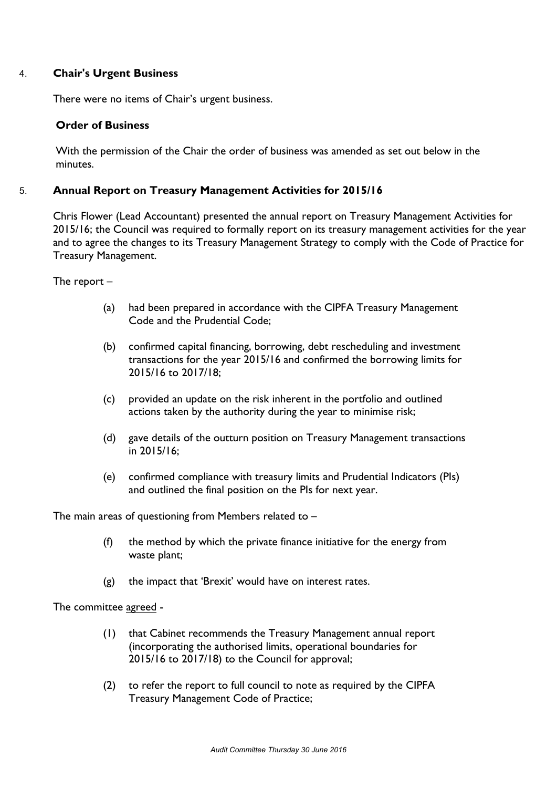### 4. **Chair's Urgent Business**

There were no items of Chair's urgent business.

### **Order of Business**

With the permission of the Chair the order of business was amended as set out below in the minutes.

### 5. **Annual Report on Treasury Management Activities for 2015/16**

Chris Flower (Lead Accountant) presented the annual report on Treasury Management Activities for 2015/16; the Council was required to formally report on its treasury management activities for the year and to agree the changes to its Treasury Management Strategy to comply with the Code of Practice for Treasury Management.

The report –

- (a) had been prepared in accordance with the CIPFA Treasury Management Code and the Prudential Code;
- (b) confirmed capital financing, borrowing, debt rescheduling and investment transactions for the year 2015/16 and confirmed the borrowing limits for 2015/16 to 2017/18;
- (c) provided an update on the risk inherent in the portfolio and outlined actions taken by the authority during the year to minimise risk;
- (d) gave details of the outturn position on Treasury Management transactions in 2015/16;
- (e) confirmed compliance with treasury limits and Prudential Indicators (PIs) and outlined the final position on the PIs for next year.

The main areas of questioning from Members related to –

- (f) the method by which the private finance initiative for the energy from waste plant;
- (g) the impact that 'Brexit' would have on interest rates.

The committee agreed -

- (1) that Cabinet recommends the Treasury Management annual report (incorporating the authorised limits, operational boundaries for 2015/16 to 2017/18) to the Council for approval;
- (2) to refer the report to full council to note as required by the CIPFA Treasury Management Code of Practice;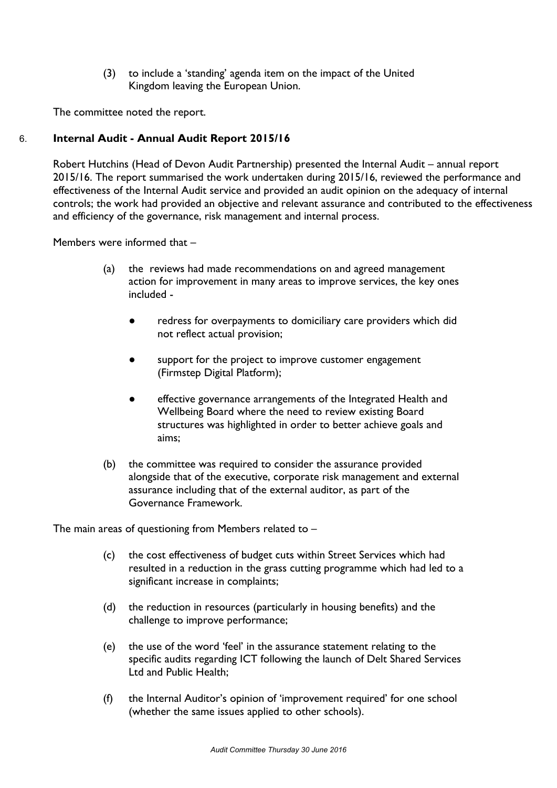(3) to include a 'standing' agenda item on the impact of the United Kingdom leaving the European Union.

The committee noted the report.

# 6. **Internal Audit - Annual Audit Report 2015/16**

Robert Hutchins (Head of Devon Audit Partnership) presented the Internal Audit – annual report 2015/16. The report summarised the work undertaken during 2015/16, reviewed the performance and effectiveness of the Internal Audit service and provided an audit opinion on the adequacy of internal controls; the work had provided an objective and relevant assurance and contributed to the effectiveness and efficiency of the governance, risk management and internal process.

Members were informed that –

- (a) the reviews had made recommendations on and agreed management action for improvement in many areas to improve services, the key ones included -
	- redress for overpayments to domiciliary care providers which did not reflect actual provision;
	- support for the project to improve customer engagement (Firmstep Digital Platform);
	- effective governance arrangements of the Integrated Health and Wellbeing Board where the need to review existing Board structures was highlighted in order to better achieve goals and aims;
- (b) the committee was required to consider the assurance provided alongside that of the executive, corporate risk management and external assurance including that of the external auditor, as part of the Governance Framework.

The main areas of questioning from Members related to –

- (c) the cost effectiveness of budget cuts within Street Services which had resulted in a reduction in the grass cutting programme which had led to a significant increase in complaints;
- (d) the reduction in resources (particularly in housing benefits) and the challenge to improve performance;
- (e) the use of the word 'feel' in the assurance statement relating to the specific audits regarding ICT following the launch of Delt Shared Services Ltd and Public Health;
- (f) the Internal Auditor's opinion of 'improvement required' for one school (whether the same issues applied to other schools).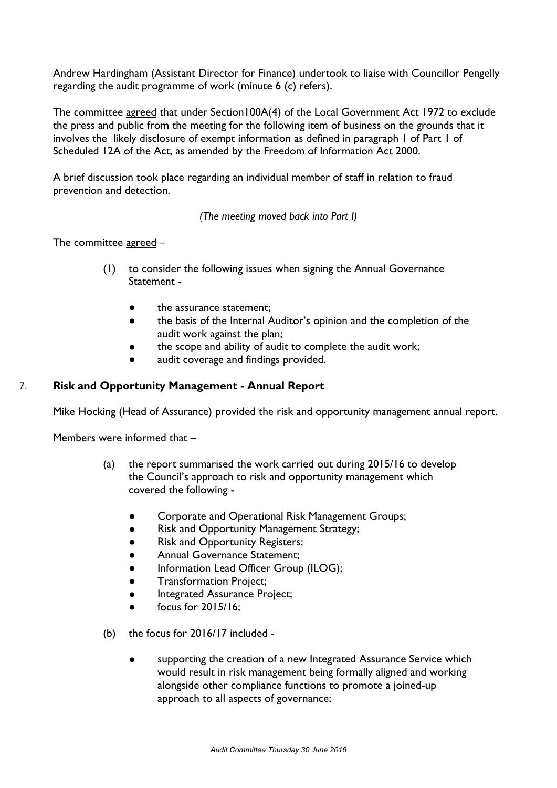Andrew Hardingham (Assistant Director for Finance) undertook to liaise with Councillor Pengelly regarding the audit programme of work (minute 6 (c) refers).

The committee agreed that under Section100A(4) of the Local Government Act 1972 to exclude the press and public from the meeting for the following item of business on the grounds that it involves the likely disclosure of exempt information as defined in paragraph 1 of Part 1 of Scheduled 12A of the Act, as amended by the Freedom of Information Act 2000.

A brief discussion took place regarding an individual member of staff in relation to fraud prevention and detection.

*(The meeting moved back into Part I)*

The committee agreed –

- (1) to consider the following issues when signing the Annual Governance Statement -
	- the assurance statement:
	- the basis of the Internal Auditor's opinion and the completion of the audit work against the plan;
	- the scope and ability of audit to complete the audit work;
	- audit coverage and findings provided.

### 7. **Risk and Opportunity Management - Annual Report**

Mike Hocking (Head of Assurance) provided the risk and opportunity management annual report.

Members were informed that –

- (a) the report summarised the work carried out during 2015/16 to develop the Council's approach to risk and opportunity management which covered the following -
	- Corporate and Operational Risk Management Groups;
	- Risk and Opportunity Management Strategy;
	- Risk and Opportunity Registers;
	- Annual Governance Statement;
	- Information Lead Officer Group (ILOG);
	- **Transformation Project;**
	- **•** Integrated Assurance Project;
	- focus for 2015/16;
- (b) the focus for 2016/17 included
	- supporting the creation of a new Integrated Assurance Service which would result in risk management being formally aligned and working alongside other compliance functions to promote a joined-up approach to all aspects of governance;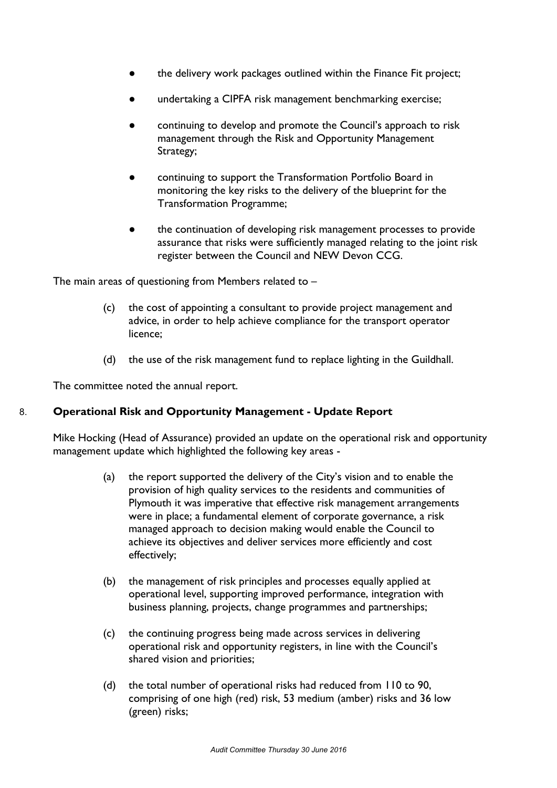- the delivery work packages outlined within the Finance Fit project;
- undertaking a CIPFA risk management benchmarking exercise;
- continuing to develop and promote the Council's approach to risk management through the Risk and Opportunity Management Strategy;
- continuing to support the Transformation Portfolio Board in monitoring the key risks to the delivery of the blueprint for the Transformation Programme;
- the continuation of developing risk management processes to provide assurance that risks were sufficiently managed relating to the joint risk register between the Council and NEW Devon CCG.

The main areas of questioning from Members related to –

- (c) the cost of appointing a consultant to provide project management and advice, in order to help achieve compliance for the transport operator licence;
- (d) the use of the risk management fund to replace lighting in the Guildhall.

The committee noted the annual report.

#### 8. **Operational Risk and Opportunity Management - Update Report**

Mike Hocking (Head of Assurance) provided an update on the operational risk and opportunity management update which highlighted the following key areas -

- (a) the report supported the delivery of the City's vision and to enable the provision of high quality services to the residents and communities of Plymouth it was imperative that effective risk management arrangements were in place; a fundamental element of corporate governance, a risk managed approach to decision making would enable the Council to achieve its objectives and deliver services more efficiently and cost effectively;
- (b) the management of risk principles and processes equally applied at operational level, supporting improved performance, integration with business planning, projects, change programmes and partnerships;
- (c) the continuing progress being made across services in delivering operational risk and opportunity registers, in line with the Council's shared vision and priorities;
- (d) the total number of operational risks had reduced from 110 to 90, comprising of one high (red) risk, 53 medium (amber) risks and 36 low (green) risks;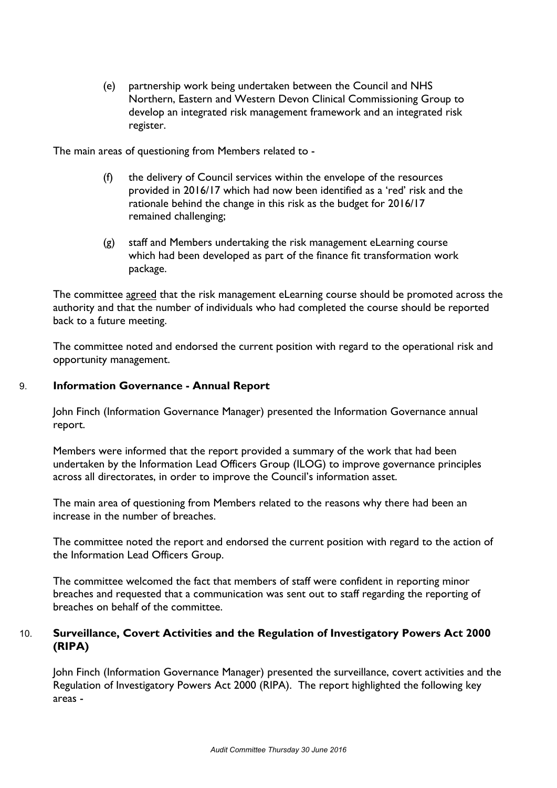(e) partnership work being undertaken between the Council and NHS Northern, Eastern and Western Devon Clinical Commissioning Group to develop an integrated risk management framework and an integrated risk register.

The main areas of questioning from Members related to -

- (f) the delivery of Council services within the envelope of the resources provided in 2016/17 which had now been identified as a 'red' risk and the rationale behind the change in this risk as the budget for 2016/17 remained challenging;
- (g) staff and Members undertaking the risk management eLearning course which had been developed as part of the finance fit transformation work package.

The committee agreed that the risk management eLearning course should be promoted across the authority and that the number of individuals who had completed the course should be reported back to a future meeting.

The committee noted and endorsed the current position with regard to the operational risk and opportunity management.

### 9. **Information Governance - Annual Report**

John Finch (Information Governance Manager) presented the Information Governance annual report.

Members were informed that the report provided a summary of the work that had been undertaken by the Information Lead Officers Group (ILOG) to improve governance principles across all directorates, in order to improve the Council's information asset.

The main area of questioning from Members related to the reasons why there had been an increase in the number of breaches.

The committee noted the report and endorsed the current position with regard to the action of the Information Lead Officers Group.

The committee welcomed the fact that members of staff were confident in reporting minor breaches and requested that a communication was sent out to staff regarding the reporting of breaches on behalf of the committee.

# 10. **Surveillance, Covert Activities and the Regulation of Investigatory Powers Act 2000 (RIPA)**

John Finch (Information Governance Manager) presented the surveillance, covert activities and the Regulation of Investigatory Powers Act 2000 (RIPA). The report highlighted the following key areas -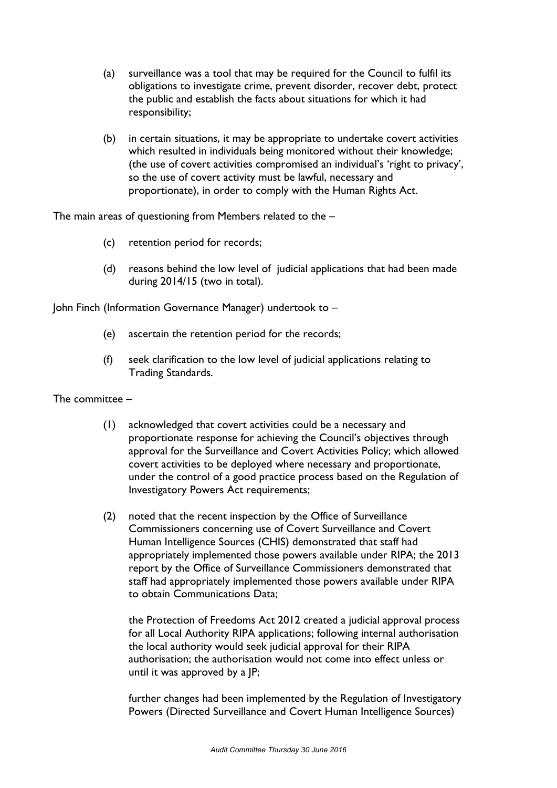- (a) surveillance was a tool that may be required for the Council to fulfil its obligations to investigate crime, prevent disorder, recover debt, protect the public and establish the facts about situations for which it had responsibility;
- (b) in certain situations, it may be appropriate to undertake covert activities which resulted in individuals being monitored without their knowledge; (the use of covert activities compromised an individual's 'right to privacy', so the use of covert activity must be lawful, necessary and proportionate), in order to comply with the Human Rights Act.

The main areas of questioning from Members related to the –

- (c) retention period for records;
- (d) reasons behind the low level of judicial applications that had been made during 2014/15 (two in total).

John Finch (Information Governance Manager) undertook to –

- (e) ascertain the retention period for the records;
- (f) seek clarification to the low level of judicial applications relating to Trading Standards.

The committee –

- (1) acknowledged that covert activities could be a necessary and proportionate response for achieving the Council's objectives through approval for the Surveillance and Covert Activities Policy; which allowed covert activities to be deployed where necessary and proportionate, under the control of a good practice process based on the Regulation of Investigatory Powers Act requirements;
- (2) noted that the recent inspection by the Office of Surveillance Commissioners concerning use of Covert Surveillance and Covert Human Intelligence Sources (CHIS) demonstrated that staff had appropriately implemented those powers available under RIPA; the 2013 report by the Office of Surveillance Commissioners demonstrated that staff had appropriately implemented those powers available under RIPA to obtain Communications Data;

the Protection of Freedoms Act 2012 created a judicial approval process for all Local Authority RIPA applications; following internal authorisation the local authority would seek judicial approval for their RIPA authorisation; the authorisation would not come into effect unless or until it was approved by a JP;

further changes had been implemented by the Regulation of Investigatory Powers (Directed Surveillance and Covert Human Intelligence Sources)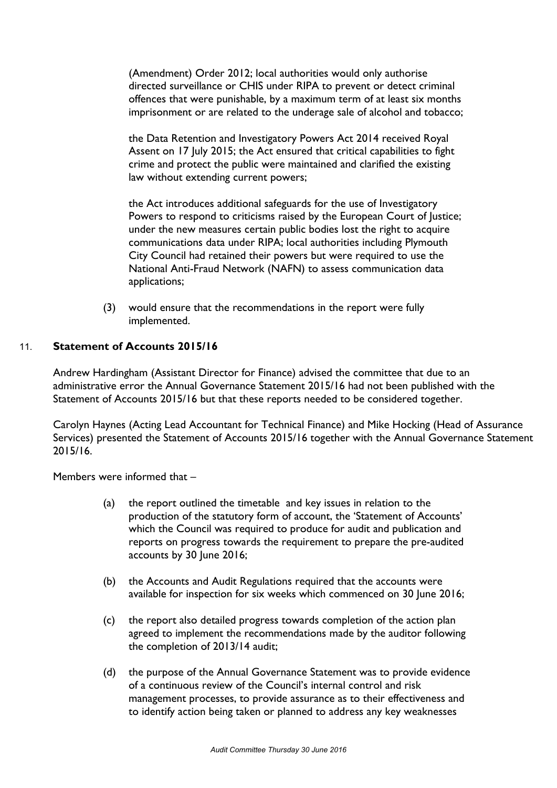(Amendment) Order 2012; local authorities would only authorise directed surveillance or CHIS under RIPA to prevent or detect criminal offences that were punishable, by a maximum term of at least six months imprisonment or are related to the underage sale of alcohol and tobacco;

the Data Retention and Investigatory Powers Act 2014 received Royal Assent on 17 July 2015; the Act ensured that critical capabilities to fight crime and protect the public were maintained and clarified the existing law without extending current powers;

the Act introduces additional safeguards for the use of Investigatory Powers to respond to criticisms raised by the European Court of Justice; under the new measures certain public bodies lost the right to acquire communications data under RIPA; local authorities including Plymouth City Council had retained their powers but were required to use the National Anti-Fraud Network (NAFN) to assess communication data applications;

(3) would ensure that the recommendations in the report were fully implemented.

# 11. **Statement of Accounts 2015/16**

Andrew Hardingham (Assistant Director for Finance) advised the committee that due to an administrative error the Annual Governance Statement 2015/16 had not been published with the Statement of Accounts 2015/16 but that these reports needed to be considered together.

Carolyn Haynes (Acting Lead Accountant for Technical Finance) and Mike Hocking (Head of Assurance Services) presented the Statement of Accounts 2015/16 together with the Annual Governance Statement 2015/16.

Members were informed that –

- (a) the report outlined the timetable and key issues in relation to the production of the statutory form of account, the 'Statement of Accounts' which the Council was required to produce for audit and publication and reports on progress towards the requirement to prepare the pre-audited accounts by 30 June 2016;
- (b) the Accounts and Audit Regulations required that the accounts were available for inspection for six weeks which commenced on 30 June 2016;
- (c) the report also detailed progress towards completion of the action plan agreed to implement the recommendations made by the auditor following the completion of 2013/14 audit;
- (d) the purpose of the Annual Governance Statement was to provide evidence of a continuous review of the Council's internal control and risk management processes, to provide assurance as to their effectiveness and to identify action being taken or planned to address any key weaknesses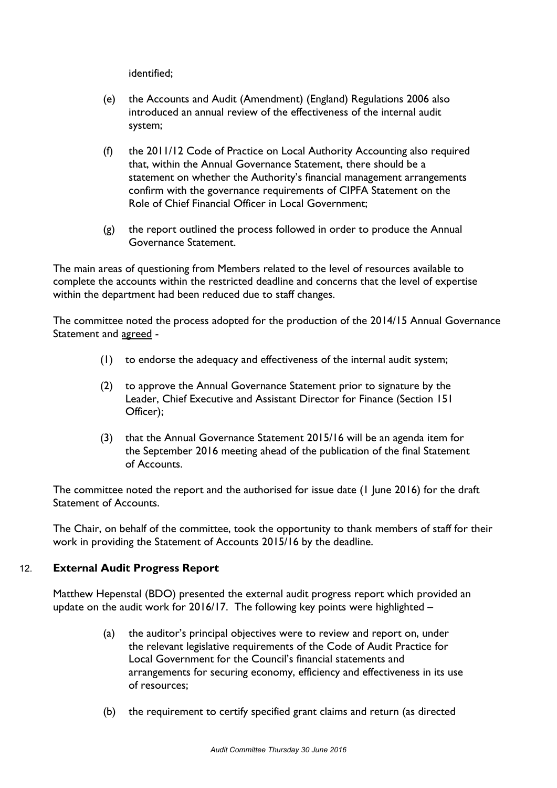identified;

- (e) the Accounts and Audit (Amendment) (England) Regulations 2006 also introduced an annual review of the effectiveness of the internal audit system;
- (f) the 2011/12 Code of Practice on Local Authority Accounting also required that, within the Annual Governance Statement, there should be a statement on whether the Authority's financial management arrangements confirm with the governance requirements of CIPFA Statement on the Role of Chief Financial Officer in Local Government;
- (g) the report outlined the process followed in order to produce the Annual Governance Statement.

The main areas of questioning from Members related to the level of resources available to complete the accounts within the restricted deadline and concerns that the level of expertise within the department had been reduced due to staff changes.

The committee noted the process adopted for the production of the 2014/15 Annual Governance Statement and agreed -

- (1) to endorse the adequacy and effectiveness of the internal audit system;
- (2) to approve the Annual Governance Statement prior to signature by the Leader, Chief Executive and Assistant Director for Finance (Section 151 Officer);
- (3) that the Annual Governance Statement 2015/16 will be an agenda item for the September 2016 meeting ahead of the publication of the final Statement of Accounts.

The committee noted the report and the authorised for issue date (1 June 2016) for the draft Statement of Accounts.

The Chair, on behalf of the committee, took the opportunity to thank members of staff for their work in providing the Statement of Accounts 2015/16 by the deadline.

# 12. **External Audit Progress Report**

Matthew Hepenstal (BDO) presented the external audit progress report which provided an update on the audit work for 2016/17. The following key points were highlighted –

- (a) the auditor's principal objectives were to review and report on, under the relevant legislative requirements of the Code of Audit Practice for Local Government for the Council's financial statements and arrangements for securing economy, efficiency and effectiveness in its use of resources;
- (b) the requirement to certify specified grant claims and return (as directed